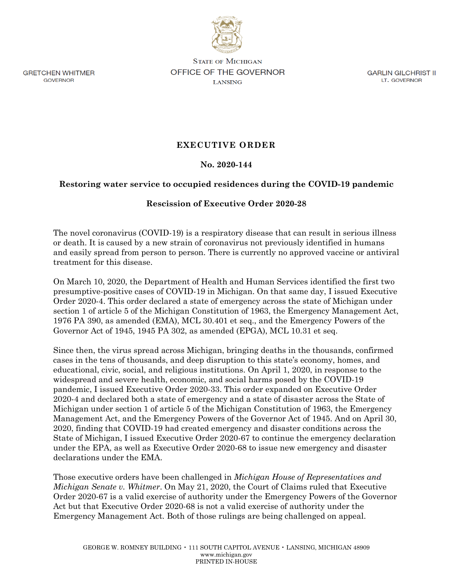

**GRETCHEN WHITMER GOVERNOR** 

**STATE OF MICHIGAN** OFFICE OF THE GOVERNOR **LANSING** 

**GARLIN GILCHRIST II** LT. GOVERNOR

## **EXECUTIVE ORDER**

## **No. 2020-144**

## **Restoring water service to occupied residences during the COVID-19 pandemic**

## **Rescission of Executive Order 2020-28**

The novel coronavirus (COVID-19) is a respiratory disease that can result in serious illness or death. It is caused by a new strain of coronavirus not previously identified in humans and easily spread from person to person. There is currently no approved vaccine or antiviral treatment for this disease.

On March 10, 2020, the Department of Health and Human Services identified the first two presumptive-positive cases of COVID-19 in Michigan. On that same day, I issued Executive Order 2020-4. This order declared a state of emergency across the state of Michigan under section 1 of article 5 of the Michigan Constitution of 1963, the Emergency Management Act, 1976 PA 390, as amended (EMA), MCL 30.401 et seq., and the Emergency Powers of the Governor Act of 1945, 1945 PA 302, as amended (EPGA), MCL 10.31 et seq.

Since then, the virus spread across Michigan, bringing deaths in the thousands, confirmed cases in the tens of thousands, and deep disruption to this state's economy, homes, and educational, civic, social, and religious institutions. On April 1, 2020, in response to the widespread and severe health, economic, and social harms posed by the COVID-19 pandemic, I issued Executive Order 2020-33. This order expanded on Executive Order 2020-4 and declared both a state of emergency and a state of disaster across the State of Michigan under section 1 of article 5 of the Michigan Constitution of 1963, the Emergency Management Act, and the Emergency Powers of the Governor Act of 1945. And on April 30, 2020, finding that COVID-19 had created emergency and disaster conditions across the State of Michigan, I issued Executive Order 2020-67 to continue the emergency declaration under the EPA, as well as Executive Order 2020-68 to issue new emergency and disaster declarations under the EMA.

Those executive orders have been challenged in *Michigan House of Representatives and Michigan Senate v. Whitmer*. On May 21, 2020, the Court of Claims ruled that Executive Order 2020-67 is a valid exercise of authority under the Emergency Powers of the Governor Act but that Executive Order 2020-68 is not a valid exercise of authority under the Emergency Management Act. Both of those rulings are being challenged on appeal.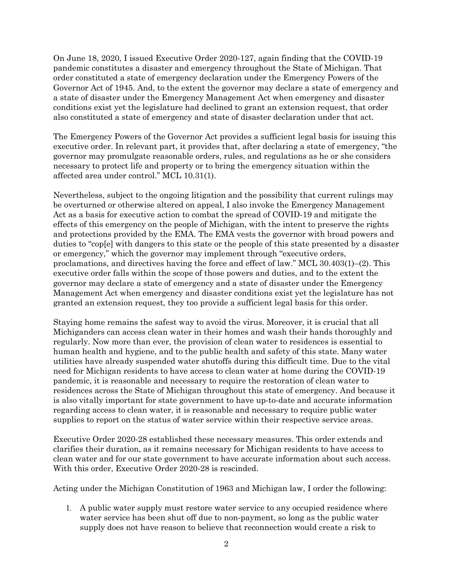On June 18, 2020, I issued Executive Order 2020-127, again finding that the COVID-19 pandemic constitutes a disaster and emergency throughout the State of Michigan. That order constituted a state of emergency declaration under the Emergency Powers of the Governor Act of 1945. And, to the extent the governor may declare a state of emergency and a state of disaster under the Emergency Management Act when emergency and disaster conditions exist yet the legislature had declined to grant an extension request, that order also constituted a state of emergency and state of disaster declaration under that act.

The Emergency Powers of the Governor Act provides a sufficient legal basis for issuing this executive order. In relevant part, it provides that, after declaring a state of emergency, "the governor may promulgate reasonable orders, rules, and regulations as he or she considers necessary to protect life and property or to bring the emergency situation within the affected area under control." MCL 10.31(1).

Nevertheless, subject to the ongoing litigation and the possibility that current rulings may be overturned or otherwise altered on appeal, I also invoke the Emergency Management Act as a basis for executive action to combat the spread of COVID-19 and mitigate the effects of this emergency on the people of Michigan, with the intent to preserve the rights and protections provided by the EMA. The EMA vests the governor with broad powers and duties to "cop[e] with dangers to this state or the people of this state presented by a disaster or emergency," which the governor may implement through "executive orders, proclamations, and directives having the force and effect of law." MCL 30.403(1)–(2). This executive order falls within the scope of those powers and duties, and to the extent the governor may declare a state of emergency and a state of disaster under the Emergency Management Act when emergency and disaster conditions exist yet the legislature has not granted an extension request, they too provide a sufficient legal basis for this order.

Staying home remains the safest way to avoid the virus. Moreover, it is crucial that all Michiganders can access clean water in their homes and wash their hands thoroughly and regularly. Now more than ever, the provision of clean water to residences is essential to human health and hygiene, and to the public health and safety of this state. Many water utilities have already suspended water shutoffs during this difficult time. Due to the vital need for Michigan residents to have access to clean water at home during the COVID-19 pandemic, it is reasonable and necessary to require the restoration of clean water to residences across the State of Michigan throughout this state of emergency. And because it is also vitally important for state government to have up-to-date and accurate information regarding access to clean water, it is reasonable and necessary to require public water supplies to report on the status of water service within their respective service areas.

Executive Order 2020-28 established these necessary measures. This order extends and clarifies their duration, as it remains necessary for Michigan residents to have access to clean water and for our state government to have accurate information about such access. With this order, Executive Order 2020-28 is rescinded.

Acting under the Michigan Constitution of 1963 and Michigan law, I order the following:

1. A public water supply must restore water service to any occupied residence where water service has been shut off due to non-payment, so long as the public water supply does not have reason to believe that reconnection would create a risk to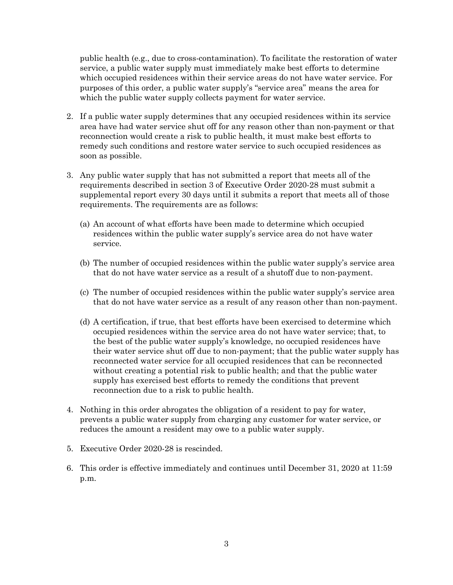public health (e.g., due to cross-contamination). To facilitate the restoration of water service, a public water supply must immediately make best efforts to determine which occupied residences within their service areas do not have water service. For purposes of this order, a public water supply's "service area" means the area for which the public water supply collects payment for water service.

- 2. If a public water supply determines that any occupied residences within its service area have had water service shut off for any reason other than non-payment or that reconnection would create a risk to public health, it must make best efforts to remedy such conditions and restore water service to such occupied residences as soon as possible.
- 3. Any public water supply that has not submitted a report that meets all of the requirements described in section 3 of Executive Order 2020-28 must submit a supplemental report every 30 days until it submits a report that meets all of those requirements. The requirements are as follows:
	- (a) An account of what efforts have been made to determine which occupied residences within the public water supply's service area do not have water service.
	- (b) The number of occupied residences within the public water supply's service area that do not have water service as a result of a shutoff due to non-payment.
	- (c) The number of occupied residences within the public water supply's service area that do not have water service as a result of any reason other than non-payment.
	- (d) A certification, if true, that best efforts have been exercised to determine which occupied residences within the service area do not have water service; that, to the best of the public water supply's knowledge, no occupied residences have their water service shut off due to non-payment; that the public water supply has reconnected water service for all occupied residences that can be reconnected without creating a potential risk to public health; and that the public water supply has exercised best efforts to remedy the conditions that prevent reconnection due to a risk to public health.
- 4. Nothing in this order abrogates the obligation of a resident to pay for water, prevents a public water supply from charging any customer for water service, or reduces the amount a resident may owe to a public water supply.
- 5. Executive Order 2020-28 is rescinded.
- 6. This order is effective immediately and continues until December 31, 2020 at 11:59 p.m.